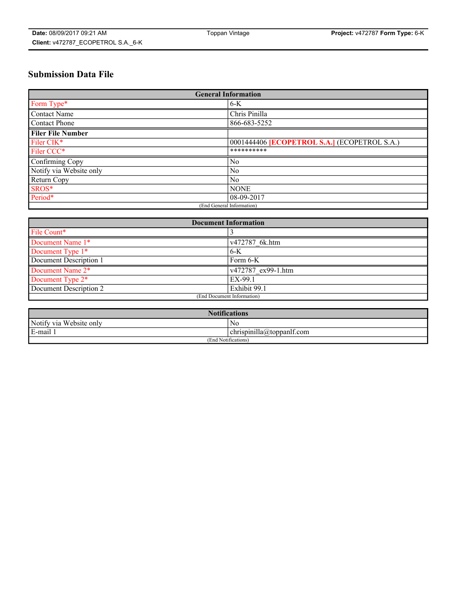# **Submission Data File**

| <b>General Information</b> |                                                     |
|----------------------------|-----------------------------------------------------|
| Form Type*                 | $6-K$                                               |
| Contact Name               | Chris Pinilla                                       |
| Contact Phone              | 866-683-5252                                        |
| <b>Filer File Number</b>   |                                                     |
| Filer CIK*                 | 0001444406 <b>[ECOPETROL S.A.]</b> (ECOPETROL S.A.) |
| Filer CCC*                 | **********                                          |
| Confirming Copy            | $\overline{N_0}$                                    |
| Notify via Website only    | No                                                  |
| <b>Return Copy</b>         | $\overline{N_0}$                                    |
| SROS*                      | <b>NONE</b>                                         |
| Period*                    | $08-09-2017$                                        |
| (End General Information)  |                                                     |

| <b>Document Information</b> |                    |
|-----------------------------|--------------------|
| File Count*                 |                    |
| Document Name 1*            | v472787 6k.htm     |
| Document Type 1*            | $6-K$              |
| Document Description 1      | Form 6-K           |
| Document Name 2*            | v472787 ex99-1.htm |
| Document Type 2*            | EX-99.1            |
| Document Description 2      | Exhibit 99.1       |
| (End Document Information)  |                    |

| <b>Notifications</b>    |                                        |  |
|-------------------------|----------------------------------------|--|
| Notify via Website only | N0                                     |  |
| E-mail 1                | <br>10<br> chrispinilla(a)toppanIt.com |  |
| (End Notifications)     |                                        |  |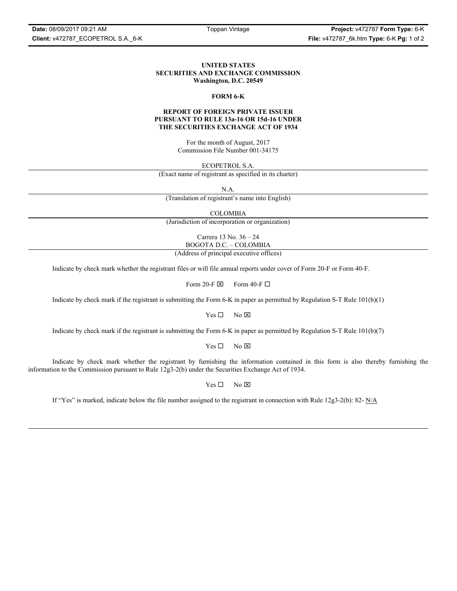## **UNITED STATES SECURITIES AND EXCHANGE COMMISSION Washington, D.C. 20549**

#### **FORM 6-K**

## **REPORT OF FOREIGN PRIVATE ISSUER PURSUANT TO RULE 13a-16 OR 15d-16 UNDER THE SECURITIES EXCHANGE ACT OF 1934**

For the month of August, 2017 Commission File Number 001-34175

ECOPETROL S.A.

(Exact name of registrant as specified in its charter)

N.A.

(Translation of registrant's name into English)

COLOMBIA

(Jurisdiction of incorporation or organization)

Carrera 13 No. 36 – 24 BOGOTA D.C. – COLOMBIA

(Address of principal executive offices)

Indicate by check mark whether the registrant files or will file annual reports under cover of Form 20-F or Form 40-F.

Form 20-F  $\boxtimes$  Form 40-F  $\Box$ 

Indicate by check mark if the registrant is submitting the Form 6-K in paper as permitted by Regulation S-T Rule 101(b)(1)

 $Yes \Box$  No  $\boxtimes$ 

Indicate by check mark if the registrant is submitting the Form 6-K in paper as permitted by Regulation S-T Rule 101(b)(7)

 $Yes \Box$  No  $\boxtimes$ 

Indicate by check mark whether the registrant by furnishing the information contained in this form is also thereby furnishing the information to the Commission pursuant to Rule 12g3-2(b) under the Securities Exchange Act of 1934.

 $Yes \Box$  No  $\boxtimes$ 

If "Yes" is marked, indicate below the file number assigned to the registrant in connection with Rule 12g3-2(b): 82- N/A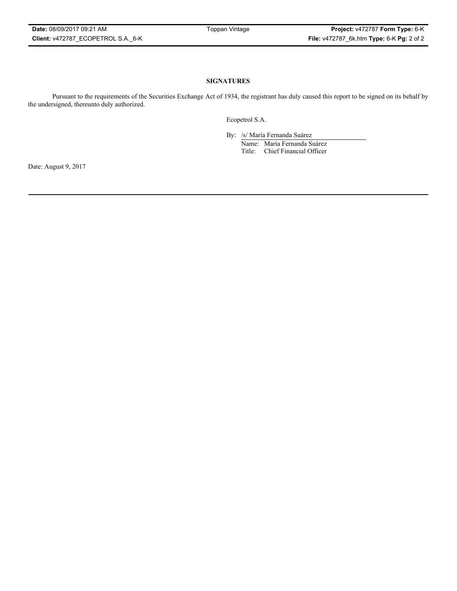## **SIGNATURES**

Pursuant to the requirements of the Securities Exchange Act of 1934, the registrant has duly caused this report to be signed on its behalf by the undersigned, thereunto duly authorized.

Ecopetrol S.A.

By: /s/ María Fernanda Suárez Name: María Fernanda Suárez Title: Chief Financial Officer

Date: August 9, 2017